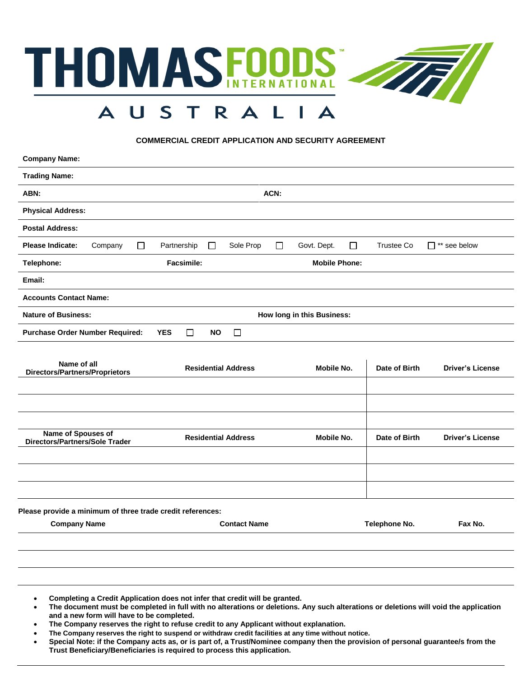

### **COMMERCIAL CREDIT APPLICATION AND SECURITY AGREEMENT**

| <b>Company Name:</b>                                        |                                             |                                 |                   |                         |
|-------------------------------------------------------------|---------------------------------------------|---------------------------------|-------------------|-------------------------|
| <b>Trading Name:</b>                                        |                                             |                                 |                   |                         |
| ABN:                                                        |                                             | ACN:                            |                   |                         |
| <b>Physical Address:</b>                                    |                                             |                                 |                   |                         |
| <b>Postal Address:</b>                                      |                                             |                                 |                   |                         |
| <b>Please Indicate:</b><br>$\Box$<br>Company                | Sole Prop<br>Partnership<br>$\Box$          | $\Box$<br>Govt. Dept.<br>$\Box$ | <b>Trustee Co</b> | □ ** see below          |
| Telephone:                                                  | Facsimile:                                  | <b>Mobile Phone:</b>            |                   |                         |
| Email:                                                      |                                             |                                 |                   |                         |
| <b>Accounts Contact Name:</b>                               |                                             |                                 |                   |                         |
| <b>Nature of Business:</b>                                  |                                             | How long in this Business:      |                   |                         |
| <b>Purchase Order Number Required:</b>                      | <b>YES</b><br>$\Box$<br><b>NO</b><br>$\Box$ |                                 |                   |                         |
| Name of all<br><b>Directors/Partners/Proprietors</b>        | <b>Residential Address</b>                  | <b>Mobile No.</b>               | Date of Birth     | <b>Driver's License</b> |
|                                                             |                                             |                                 |                   |                         |
|                                                             |                                             |                                 |                   |                         |
|                                                             |                                             |                                 |                   |                         |
| Name of Spouses of<br><b>Directors/Partners/Sole Trader</b> | <b>Residential Address</b>                  | <b>Mobile No.</b>               | Date of Birth     | <b>Driver's License</b> |
|                                                             |                                             |                                 |                   |                         |
|                                                             |                                             |                                 |                   |                         |
|                                                             |                                             |                                 |                   |                         |
| Please provide a minimum of three trade credit references:  |                                             |                                 |                   |                         |
| <b>Company Name</b>                                         | <b>Contact Name</b>                         |                                 | Telephone No.     | Fax No.                 |

- **Completing a Credit Application does not infer that credit will be granted.**
- **The document must be completed in full with no alterations or deletions. Any such alterations or deletions will void the application and a new form will have to be completed.**
- **The Company reserves the right to refuse credit to any Applicant without explanation.**
- **The Company reserves the right to suspend or withdraw credit facilities at any time without notice.**
- **Special Note: if the Company acts as, or is part of, a Trust/Nominee company then the provision of personal guarantee/s from the Trust Beneficiary/Beneficiaries is required to process this application.**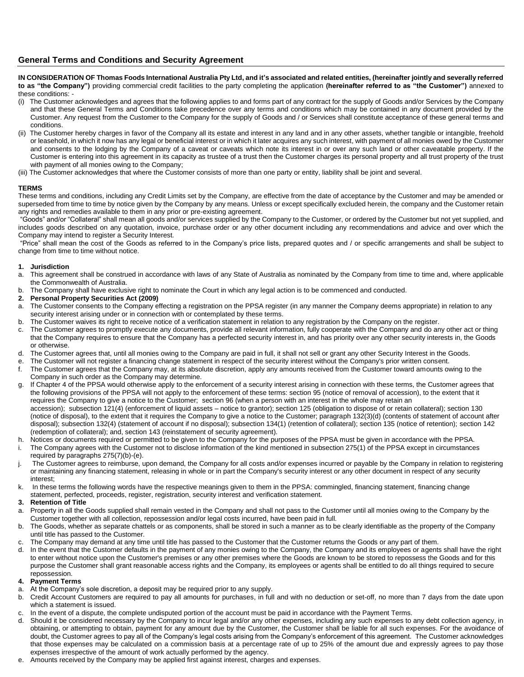## **General Terms and Conditions and Security Agreement**

**IN CONSIDERATION OF Thomas Foods International Australia Pty Ltd, and it's associated and related entities, (hereinafter jointly and severally referred to as "the Company")** providing commercial credit facilities to the party completing the application **(hereinafter referred to as "the Customer")** annexed to these conditions: -

- (i) The Customer acknowledges and agrees that the following applies to and forms part of any contract for the supply of Goods and/or Services by the Company and that these General Terms and Conditions take precedence over any terms and conditions which may be contained in any document provided by the Customer. Any request from the Customer to the Company for the supply of Goods and / or Services shall constitute acceptance of these general terms and conditions.
- (ii) The Customer hereby charges in favor of the Company all its estate and interest in any land and in any other assets, whether tangible or intangible, freehold or leasehold, in which it now has any legal or beneficial interest or in which it later acquires any such interest, with payment of all monies owed by the Customer and consents to the lodging by the Company of a caveat or caveats which note its interest in or over any such land or other caveatable property. If the Customer is entering into this agreement in its capacity as trustee of a trust then the Customer charges its personal property and all trust property of the trust with payment of all monies owing to the Company;
- (iii) The Customer acknowledges that where the Customer consists of more than one party or entity, liability shall be joint and several.

#### **TERMS**

These terms and conditions, including any Credit Limits set by the Company, are effective from the date of acceptance by the Customer and may be amended or superseded from time to time by notice given by the Company by any means. Unless or except specifically excluded herein, the company and the Customer retain any rights and remedies available to them in any prior or pre-existing agreement.

"Goods" and/or "Collateral" shall mean all goods and/or services supplied by the Company to the Customer, or ordered by the Customer but not yet supplied, and includes goods described on any quotation, invoice, purchase order or any other document including any recommendations and advice and over which the Company may intend to register a Security Interest.

"Price" shall mean the cost of the Goods as referred to in the Company's price lists, prepared quotes and / or specific arrangements and shall be subject to change from time to time without notice.

#### **1. Jurisdiction**

- a. This agreement shall be construed in accordance with laws of any State of Australia as nominated by the Company from time to time and, where applicable the Commonwealth of Australia.
- b. The Company shall have exclusive right to nominate the Court in which any legal action is to be commenced and conducted.
- **2. Personal Property Securities Act (2009)**
- a. The Customer consents to the Company effecting a registration on the PPSA register (in any manner the Company deems appropriate) in relation to any security interest arising under or in connection with or contemplated by these terms.
- b. The Customer waives its right to receive notice of a verification statement in relation to any registration by the Company on the register.
- c. The Customer agrees to promptly execute any documents, provide all relevant information, fully cooperate with the Company and do any other act or thing that the Company requires to ensure that the Company has a perfected security interest in, and has priority over any other security interests in, the Goods or otherwise.
- d. The Customer agrees that, until all monies owing to the Company are paid in full, it shall not sell or grant any other Security Interest in the Goods.
- e. The Customer will not register a financing change statement in respect of the security interest without the Company's prior written consent.
- f. The Customer agrees that the Company may, at its absolute discretion, apply any amounts received from the Customer toward amounts owing to the Company in such order as the Company may determine.
- g. If Chapter 4 of the PPSA would otherwise apply to the enforcement of a security interest arising in connection with these terms, the Customer agrees that the following provisions of the PPSA will not apply to the enforcement of these terms: section 95 (notice of removal of accession), to the extent that it requires the Company to give a notice to the Customer; section 96 (when a person with an interest in the whole may retain an accession); subsection 121(4) (enforcement of liquid assets – notice to grantor); section 125 (obligation to dispose of or retain collateral); section 130 (notice of disposal), to the extent that it requires the Company to give a notice to the Customer; paragraph 132(3)(d) (contents of statement of account after disposal); subsection 132(4) (statement of account if no disposal); subsection 134(1) (retention of collateral); section 135 (notice of retention); section 142 (redemption of collateral); and, section 143 (reinstatement of security agreement).
- h. Notices or documents required or permitted to be given to the Company for the purposes of the PPSA must be given in accordance with the PPSA.
- i. The Company agrees with the Customer not to disclose information of the kind mentioned in subsection 275(1) of the PPSA except in circumstances required by paragraphs 275(7)(b)-(e).
- The Customer agrees to reimburse, upon demand, the Company for all costs and/or expenses incurred or payable by the Company in relation to registering or maintaining any financing statement, releasing in whole or in part the Company's security interest or any other document in respect of any security interest;
- In these terms the following words have the respective meanings given to them in the PPSA: commingled, financing statement, financing change statement, perfected, proceeds, register, registration, security interest and verification statement.

#### **3. Retention of Title**

- a. Property in all the Goods supplied shall remain vested in the Company and shall not pass to the Customer until all monies owing to the Company by the Customer together with all collection, repossession and/or legal costs incurred, have been paid in full.
- b. The Goods, whether as separate chattels or as components, shall be stored in such a manner as to be clearly identifiable as the property of the Company until title has passed to the Customer.
- c. The Company may demand at any time until title has passed to the Customer that the Customer returns the Goods or any part of them.
- d. In the event that the Customer defaults in the payment of any monies owing to the Company, the Company and its employees or agents shall have the right to enter without notice upon the Customer's premises or any other premises where the Goods are known to be stored to repossess the Goods and for this purpose the Customer shall grant reasonable access rights and the Company, its employees or agents shall be entitled to do all things required to secure repossession.

### **4. Payment Terms**

- a. At the Company's sole discretion, a deposit may be required prior to any supply.
- b. Credit Account Customers are required to pay all amounts for purchases, in full and with no deduction or set-off, no more than 7 days from the date upon which a statement is issued.
- c. In the event of a dispute, the complete undisputed portion of the account must be paid in accordance with the Payment Terms.
- d. Should it be considered necessary by the Company to incur legal and/or any other expenses, including any such expenses to any debt collection agency, in obtaining, or attempting to obtain, payment for any amount due by the Customer, the Customer shall be liable for all such expenses. For the avoidance of doubt, the Customer agrees to pay all of the Company's legal costs arising from the Company's enforcement of this agreement. The Customer acknowledges that those expenses may be calculated on a commission basis at a percentage rate of up to 25% of the amount due and expressly agrees to pay those expenses irrespective of the amount of work actually performed by the agency.
- e. Amounts received by the Company may be applied first against interest, charges and expenses.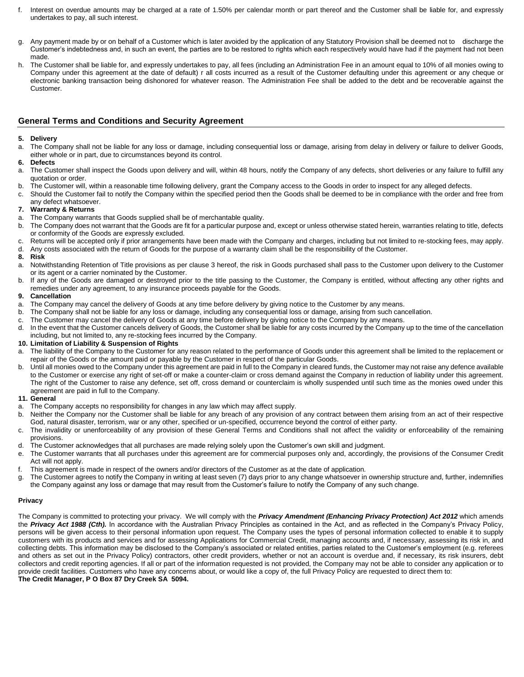- f. Interest on overdue amounts may be charged at a rate of 1.50% per calendar month or part thereof and the Customer shall be liable for, and expressly undertakes to pay, all such interest.
- g. Any payment made by or on behalf of a Customer which is later avoided by the application of any Statutory Provision shall be deemed not to discharge the Customer's indebtedness and, in such an event, the parties are to be restored to rights which each respectively would have had if the payment had not been made.
- The Customer shall be liable for, and expressly undertakes to pay, all fees (including an Administration Fee in an amount equal to 10% of all monies owing to Company under this agreement at the date of default) r all costs incurred as a result of the Customer defaulting under this agreement or any cheque or electronic banking transaction being dishonored for whatever reason. The Administration Fee shall be added to the debt and be recoverable against the Customer.

# **General Terms and Conditions and Security Agreement**

#### **5. Delivery**

a. The Company shall not be liable for any loss or damage, including consequential loss or damage, arising from delay in delivery or failure to deliver Goods, either whole or in part, due to circumstances beyond its control.

#### **6. Defects**

- a. The Customer shall inspect the Goods upon delivery and will, within 48 hours, notify the Company of any defects, short deliveries or any failure to fulfill any quotation or order.
- b. The Customer will, within a reasonable time following delivery, grant the Company access to the Goods in order to inspect for any alleged defects.
- c. Should the Customer fail to notify the Company within the specified period then the Goods shall be deemed to be in compliance with the order and free from any defect whatsoever.

#### **7. Warranty & Returns**

- a. The Company warrants that Goods supplied shall be of merchantable quality.
- b. The Company does not warrant that the Goods are fit for a particular purpose and, except or unless otherwise stated herein, warranties relating to title, defects or conformity of the Goods are expressly excluded.
- c. Returns will be accepted only if prior arrangements have been made with the Company and charges, including but not limited to re-stocking fees, may apply.
- d. Any costs associated with the return of Goods for the purpose of a warranty claim shall be the responsibility of the Customer.

#### **8. Risk**

- a. Notwithstanding Retention of Title provisions as per clause 3 hereof, the risk in Goods purchased shall pass to the Customer upon delivery to the Customer or its agent or a carrier nominated by the Customer.
- b. If any of the Goods are damaged or destroyed prior to the title passing to the Customer, the Company is entitled, without affecting any other rights and remedies under any agreement, to any insurance proceeds payable for the Goods.

#### **9. Cancellation**

- a. The Company may cancel the delivery of Goods at any time before delivery by giving notice to the Customer by any means.
- b. The Company shall not be liable for any loss or damage, including any consequential loss or damage, arising from such cancellation.
- c. The Customer may cancel the delivery of Goods at any time before delivery by giving notice to the Company by any means.
- d. In the event that the Customer cancels delivery of Goods, the Customer shall be liable for any costs incurred by the Company up to the time of the cancellation including, but not limited to, any re-stocking fees incurred by the Company.

#### **10. Limitation of Liability & Suspension of Rights**

- a. The liability of the Company to the Customer for any reason related to the performance of Goods under this agreement shall be limited to the replacement or repair of the Goods or the amount paid or payable by the Customer in respect of the particular Goods.
- b. Until all monies owed to the Company under this agreement are paid in full to the Company in cleared funds, the Customer may not raise any defence available to the Customer or exercise any right of set-off or make a counter-claim or cross demand against the Company in reduction of liability under this agreement. The right of the Customer to raise any defence, set off, cross demand or counterclaim is wholly suspended until such time as the monies owed under this agreement are paid in full to the Company.

#### **11. General**

- a. The Company accepts no responsibility for changes in any law which may affect supply.
- b. Neither the Company nor the Customer shall be liable for any breach of any provision of any contract between them arising from an act of their respective God, natural disaster, terrorism, war or any other, specified or un-specified, occurrence beyond the control of either party.
- c. The invalidity or unenforceability of any provision of these General Terms and Conditions shall not affect the validity or enforceability of the remaining provisions.
- d. The Customer acknowledges that all purchases are made relying solely upon the Customer's own skill and judgment.
- e. The Customer warrants that all purchases under this agreement are for commercial purposes only and, accordingly, the provisions of the Consumer Credit Act will not apply.
- f. This agreement is made in respect of the owners and/or directors of the Customer as at the date of application.
- g. The Customer agrees to notify the Company in writing at least seven (7) days prior to any change whatsoever in ownership structure and, further, indemnifies the Company against any loss or damage that may result from the Customer's failure to notify the Company of any such change.

#### **Privacy**

The Company is committed to protecting your privacy. We will comply with the *Privacy Amendment (Enhancing Privacy Protection) Act 2012* which amends the **Privacy Act 1988 (Cth).** In accordance with the Australian Privacy Principles as contained in the Act, and as reflected in the Company's Privacy Policy, persons will be given access to their personal information upon request. The Company uses the types of personal information collected to enable it to supply customers with its products and services and for assessing Applications for Commercial Credit, managing accounts and, if necessary, assessing its risk in, and collecting debts. This information may be disclosed to the Company's associated or related entities, parties related to the Customer's employment (e.g. referees and others as set out in the Privacy Policy) contractors, other credit providers, whether or not an account is overdue and, if necessary, its risk insurers, debt collectors and credit reporting agencies. If all or part of the information requested is not provided, the Company may not be able to consider any application or to provide credit facilities. Customers who have any concerns about, or would like a copy of, the full Privacy Policy are requested to direct them to: **The Credit Manager, P O Box 87 Dry Creek SA 5094.**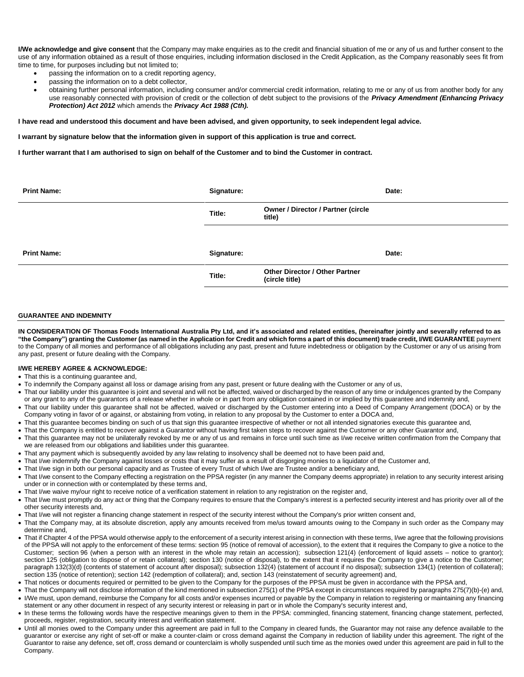**I/We acknowledge and give consent** that the Company may make enquiries as to the credit and financial situation of me or any of us and further consent to the use of any information obtained as a result of those enquiries, including information disclosed in the Credit Application, as the Company reasonably sees fit from time to time, for purposes including but not limited to;

- passing the information on to a credit reporting agency,
- passing the information on to a debt collector,
- obtaining further personal information, including consumer and/or commercial credit information, relating to me or any of us from another body for any use reasonably connected with provision of credit or the collection of debt subject to the provisions of the *Privacy Amendment (Enhancing Privacy Protection) Act 2012* which amends the *Privacy Act 1988 (Cth).*

#### **I have read and understood this document and have been advised, and given opportunity, to seek independent legal advice.**

#### **I warrant by signature below that the information given in support of this application is true and correct.**

**I further warrant that I am authorised to sign on behalf of the Customer and to bind the Customer in contract.**

| <b>Print Name:</b> | Signature: |                                                         | Date: |
|--------------------|------------|---------------------------------------------------------|-------|
|                    | Title:     | <b>Owner / Director / Partner (circle</b><br>title)     |       |
|                    |            |                                                         |       |
| <b>Print Name:</b> | Signature: |                                                         | Date: |
|                    | Title:     | <b>Other Director / Other Partner</b><br>(circle title) |       |
|                    |            |                                                         |       |

#### **GUARANTEE AND INDEMNITY**

**IN CONSIDERATION OF Thomas Foods International Australia Pty Ltd, and it's associated and related entities, (hereinafter jointly and severally referred to as "the Company") granting the Customer (as named in the Application for Credit and which forms a part of this document) trade credit, I/WE GUARANTEE** payment to the Company of all monies and performance of all obligations including any past, present and future indebtedness or obligation by the Customer or any of us arising from any past, present or future dealing with the Company.

#### **I/WE HEREBY AGREE & ACKNOWLEDGE:**

- That this is a continuing guarantee and,
- To indemnify the Company against all loss or damage arising from any past, present or future dealing with the Customer or any of us,
- That our liability under this guarantee is joint and several and will not be affected, waived or discharged by the reason of any time or indulgences granted by the Company or any grant to any of the guarantors of a release whether in whole or in part from any obligation contained in or implied by this guarantee and indemnity and,
- That our liability under this guarantee shall not be affected, waived or discharged by the Customer entering into a Deed of Company Arrangement (DOCA) or by the Company voting in favor of or against, or abstaining from voting, in relation to any proposal by the Customer to enter a DOCA and,
- That this guarantee becomes binding on such of us that sign this guarantee irrespective of whether or not all intended signatories execute this guarantee and,
- That the Company is entitled to recover against a Guarantor without having first taken steps to recover against the Customer or any other Guarantor and, • That this guarantee may not be unilaterally revoked by me or any of us and remains in force until such time as I/we receive written confirmation from the Company that we are released from our obligations and liabilities under this guarantee.
- That any payment which is subsequently avoided by any law relating to insolvency shall be deemed not to have been paid and,
- That I/we indemnify the Company against losses or costs that it may suffer as a result of disgorging monies to a liquidator of the Customer and,
- That I/we sign in both our personal capacity and as Trustee of every Trust of which I/we are Trustee and/or a beneficiary and,
- That I/we consent to the Company effecting a registration on the PPSA register (in any manner the Company deems appropriate) in relation to any security interest arising under or in connection with or contemplated by these terms and,
- That I/we waive my/our right to receive notice of a verification statement in relation to any registration on the register and,
- That I/we must promptly do any act or thing that the Company requires to ensure that the Company's interest is a perfected security interest and has priority over all of the other security interests and,
- That I/we will not register a financing change statement in respect of the security interest without the Company's prior written consent and,
- That the Company may, at its absolute discretion, apply any amounts received from me/us toward amounts owing to the Company in such order as the Company may determine and,
- That if Chapter 4 of the PPSA would otherwise apply to the enforcement of a security interest arising in connection with these terms, I/we agree that the following provisions of the PPSA will not apply to the enforcement of these terms: section 95 (notice of removal of accession), to the extent that it requires the Company to give a notice to the Customer; section 96 (when a person with an interest in the whole may retain an accession); subsection 121(4) (enforcement of liquid assets – notice to grantor); section 125 (obligation to dispose of or retain collateral); section 130 (notice of disposal), to the extent that it requires the Company to give a notice to the Customer; paragraph 132(3)(d) (contents of statement of account after disposal); subsection 132(4) (statement of account if no disposal); subsection 134(1) (retention of collateral); section 135 (notice of retention); section 142 (redemption of collateral); and, section 143 (reinstatement of security agreement) and,
- That notices or documents required or permitted to be given to the Company for the purposes of the PPSA must be given in accordance with the PPSA and,
- That the Company will not disclose information of the kind mentioned in subsection 275(1) of the PPSA except in circumstances required by paragraphs 275(7)(b)-(e) and, • I/We must, upon demand, reimburse the Company for all costs and/or expenses incurred or payable by the Company in relation to registering or maintaining any financing statement or any other document in respect of any security interest or releasing in part or in whole the Company's security interest and,
- In these terms the following words have the respective meanings given to them in the PPSA: commingled, financing statement, financing change statement, perfected, proceeds, register, registration, security interest and verification statement.
- Until all monies owed to the Company under this agreement are paid in full to the Company in cleared funds, the Guarantor may not raise any defence available to the guarantor or exercise any right of set-off or make a counter-claim or cross demand against the Company in reduction of liability under this agreement. The right of the Guarantor to raise any defence, set off, cross demand or counterclaim is wholly suspended until such time as the monies owed under this agreement are paid in full to the Company.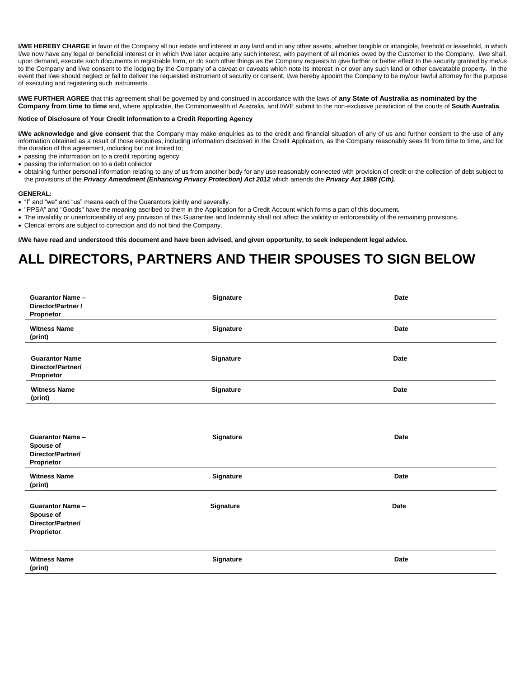I/WE HEREBY CHARGE in favor of the Company all our estate and interest in any land and in any other assets, whether tangible or intangible, freehold or leasehold, in which I/we now have any legal or beneficial interest or in which I/we later acquire any such interest, with payment of all monies owed by the Customer to the Company. I/we shall, upon demand, execute such documents in registrable form, or do such other things as the Company requests to give further or better effect to the security granted by me/us to the Company and I/we consent to the lodging by the Company of a caveat or caveats which note its interest in or over any such land or other caveatable property. In the event that I/we should neglect or fail to deliver the requested instrument of security or consent, I/we hereby appoint the Company to be my/our lawful attorney for the purpose of executing and registering such instruments.

**I/WE FURTHER AGREE** that this agreement shall be governed by and construed in accordance with the laws of **any State of Australia as nominated by the Company from time to time** and, where applicable, the Commonwealth of Australia, and I/WE submit to the non-exclusive jurisdiction of the courts of **South Australia**.

#### **Notice of Disclosure of Your Credit Information to a Credit Reporting Agency**

**I/We acknowledge and give consent** that the Company may make enquiries as to the credit and financial situation of any of us and further consent to the use of any information obtained as a result of those enquiries, including information disclosed in the Credit Application, as the Company reasonably sees fit from time to time, and for the duration of this agreement, including but not limited to;

passing the information on to a credit reporting agency

- passing the information on to a debt collector
- obtaining further personal information relating to any of us from another body for any use reasonably connected with provision of credit or the collection of debt subject to the provisions of the *Privacy Amendment (Enhancing Privacy Protection) Act 2012* which amends the *Privacy Act 1988 (Cth).*

#### **GENERAL:**

- "I" and "we" and "us" means each of the Guarantors jointly and severally.
- "PPSA" and "Goods" have the meaning ascribed to them in the Application for a Credit Account which forms a part of this document.
- The invalidity or unenforceability of any provision of this Guarantee and Indemnity shall not affect the validity or enforceability of the remaining provisions.
- Clerical errors are subject to correction and do not bind the Company.

**I/We have read and understood this document and have been advised, and given opportunity, to seek independent legal advice.**

# **ALL DIRECTORS, PARTNERS AND THEIR SPOUSES TO SIGN BELOW**

| <b>Guarantor Name -</b><br>Director/Partner /<br>Proprietor             | Signature | Date        |
|-------------------------------------------------------------------------|-----------|-------------|
| <b>Witness Name</b><br>(print)                                          | Signature | Date        |
| <b>Guarantor Name</b><br>Director/Partner/<br>Proprietor                | Signature | Date        |
| <b>Witness Name</b><br>(print)                                          | Signature | Date        |
|                                                                         |           |             |
| <b>Guarantor Name -</b><br>Spouse of<br>Director/Partner/<br>Proprietor | Signature | Date        |
| <b>Witness Name</b><br>(print)                                          | Signature | Date        |
| <b>Guarantor Name -</b><br>Spouse of<br>Director/Partner/<br>Proprietor | Signature | Date        |
| <b>Witness Name</b><br>(print)                                          | Signature | <b>Date</b> |